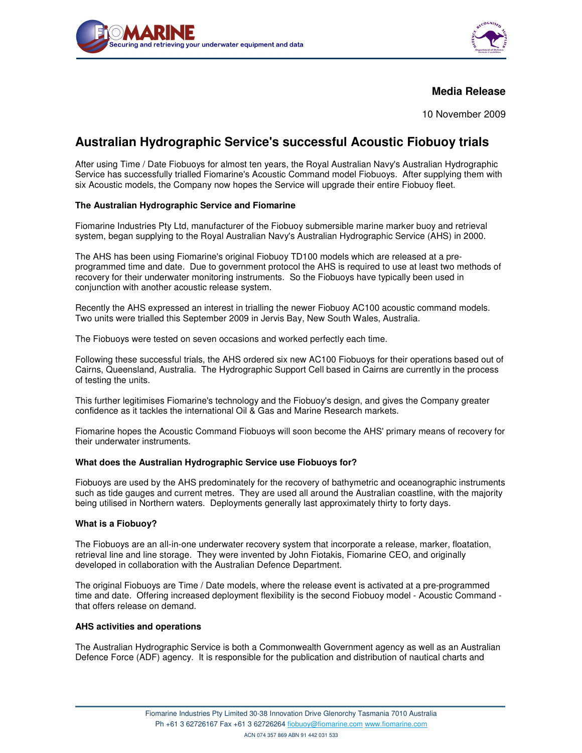



## **Media Release**

10 November 2009

# **Australian Hydrographic Service's successful Acoustic Fiobuoy trials**

After using Time / Date Fiobuoys for almost ten years, the Royal Australian Navy's Australian Hydrographic Service has successfully trialled Fiomarine's Acoustic Command model Fiobuoys. After supplying them with six Acoustic models, the Company now hopes the Service will upgrade their entire Fiobuoy fleet.

### **The Australian Hydrographic Service and Fiomarine**

Fiomarine Industries Pty Ltd, manufacturer of the Fiobuoy submersible marine marker buoy and retrieval system, began supplying to the Royal Australian Navy's Australian Hydrographic Service (AHS) in 2000.

The AHS has been using Fiomarine's original Fiobuoy TD100 models which are released at a preprogrammed time and date. Due to government protocol the AHS is required to use at least two methods of recovery for their underwater monitoring instruments. So the Fiobuoys have typically been used in conjunction with another acoustic release system.

Recently the AHS expressed an interest in trialling the newer Fiobuoy AC100 acoustic command models. Two units were trialled this September 2009 in Jervis Bay, New South Wales, Australia.

The Fiobuoys were tested on seven occasions and worked perfectly each time.

Following these successful trials, the AHS ordered six new AC100 Fiobuoys for their operations based out of Cairns, Queensland, Australia. The Hydrographic Support Cell based in Cairns are currently in the process of testing the units.

This further legitimises Fiomarine's technology and the Fiobuoy's design, and gives the Company greater confidence as it tackles the international Oil & Gas and Marine Research markets.

Fiomarine hopes the Acoustic Command Fiobuoys will soon become the AHS' primary means of recovery for their underwater instruments.

### **What does the Australian Hydrographic Service use Fiobuoys for?**

Fiobuoys are used by the AHS predominately for the recovery of bathymetric and oceanographic instruments such as tide gauges and current metres. They are used all around the Australian coastline, with the majority being utilised in Northern waters. Deployments generally last approximately thirty to forty days.

### **What is a Fiobuoy?**

The Fiobuoys are an all-in-one underwater recovery system that incorporate a release, marker, floatation, retrieval line and line storage. They were invented by John Fiotakis, Fiomarine CEO, and originally developed in collaboration with the Australian Defence Department.

The original Fiobuoys are Time / Date models, where the release event is activated at a pre-programmed time and date. Offering increased deployment flexibility is the second Fiobuoy model - Acoustic Command that offers release on demand.

### **AHS activities and operations**

The Australian Hydrographic Service is both a Commonwealth Government agency as well as an Australian Defence Force (ADF) agency. It is responsible for the publication and distribution of nautical charts and